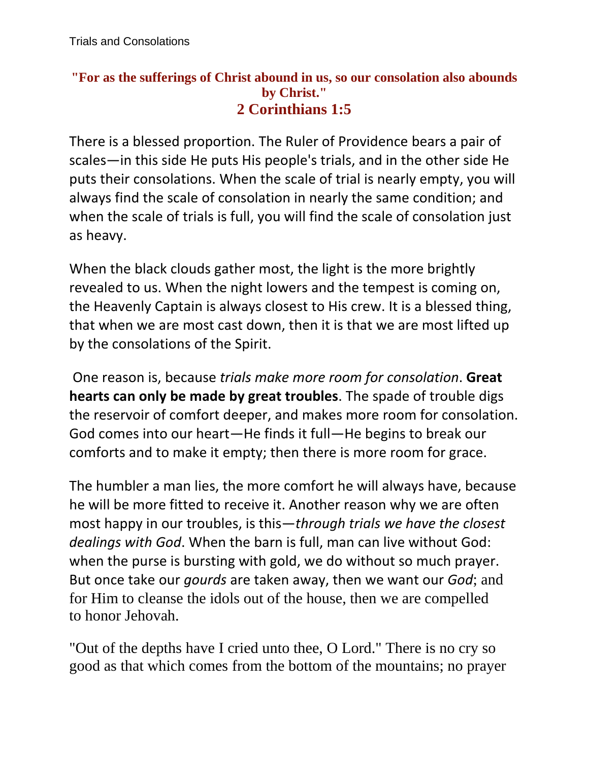## **"For as the sufferings of Christ abound in us, so our consolation also abounds by Christ." 2 Corinthians 1:5**

There is a blessed proportion. The Ruler of Providence bears a pair of scales—in this side He puts His people's trials, and in the other side He puts their consolations. When the scale of trial is nearly empty, you will always find the scale of consolation in nearly the same condition; and when the scale of trials is full, you will find the scale of consolation just as heavy.

When the black clouds gather most, the light is the more brightly revealed to us. When the night lowers and the tempest is coming on, the Heavenly Captain is always closest to His crew. It is a blessed thing, that when we are most cast down, then it is that we are most lifted up by the consolations of the Spirit.

One reason is, because *trials make more room for consolation*. **Great hearts can only be made by great troubles**. The spade of trouble digs the reservoir of comfort deeper, and makes more room for consolation. God comes into our heart—He finds it full—He begins to break our comforts and to make it empty; then there is more room for grace.

The humbler a man lies, the more comfort he will always have, because he will be more fitted to receive it. Another reason why we are often most happy in our troubles, is this—*through trials we have the closest dealings with God*. When the barn is full, man can live without God: when the purse is bursting with gold, we do without so much prayer. But once take our *gourds* are taken away, then we want our *God*; and for Him to cleanse the idols out of the house, then we are compelled to honor Jehovah.

"Out of the depths have I cried unto thee, O Lord." There is no cry so good as that which comes from the bottom of the mountains; no prayer